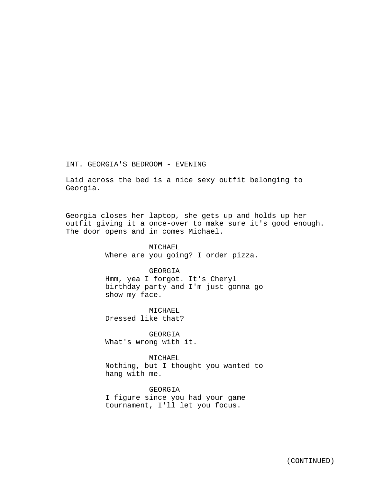INT. GEORGIA'S BEDROOM - EVENING

Laid across the bed is a nice sexy outfit belonging to Georgia.

Georgia closes her laptop, she gets up and holds up her outfit giving it a once-over to make sure it's good enough. The door opens and in comes Michael.

#### MICHAEL

Where are you going? I order pizza.

# GEORGIA

Hmm, yea I forgot. It's Cheryl birthday party and I'm just gonna go show my face.

MICHAEL Dressed like that?

GEORGIA What's wrong with it.

MICHAEL Nothing, but I thought you wanted to hang with me.

GEORGIA I figure since you had your game tournament, I'll let you focus.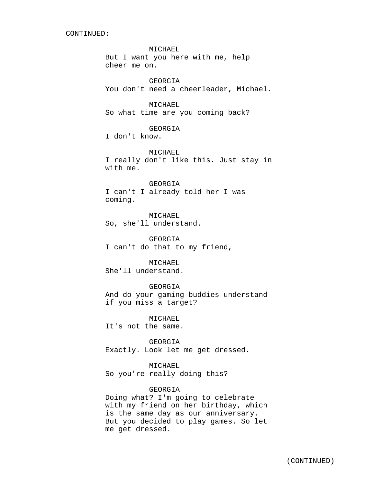CONTINUED:

#### MICHAEL

But I want you here with me, help cheer me on.

GEORGIA You don't need a cheerleader, Michael.

#### MICHAEL

So what time are you coming back?

## GEORGIA

I don't know.

#### MICHAEL

I really don't like this. Just stay in with me.

#### GEORGIA

I can't I already told her I was coming.

MICHAEL So, she'll understand.

GEORGIA I can't do that to my friend,

## MICHAEL

She'll understand.

#### GEORGIA

And do your gaming buddies understand if you miss a target?

MICHAEL It's not the same.

GEORGIA Exactly. Look let me get dressed.

## MICHAEL

So you're really doing this?

# GEORGIA

Doing what? I'm going to celebrate with my friend on her birthday, which is the same day as our anniversary. But you decided to play games. So let me get dressed.